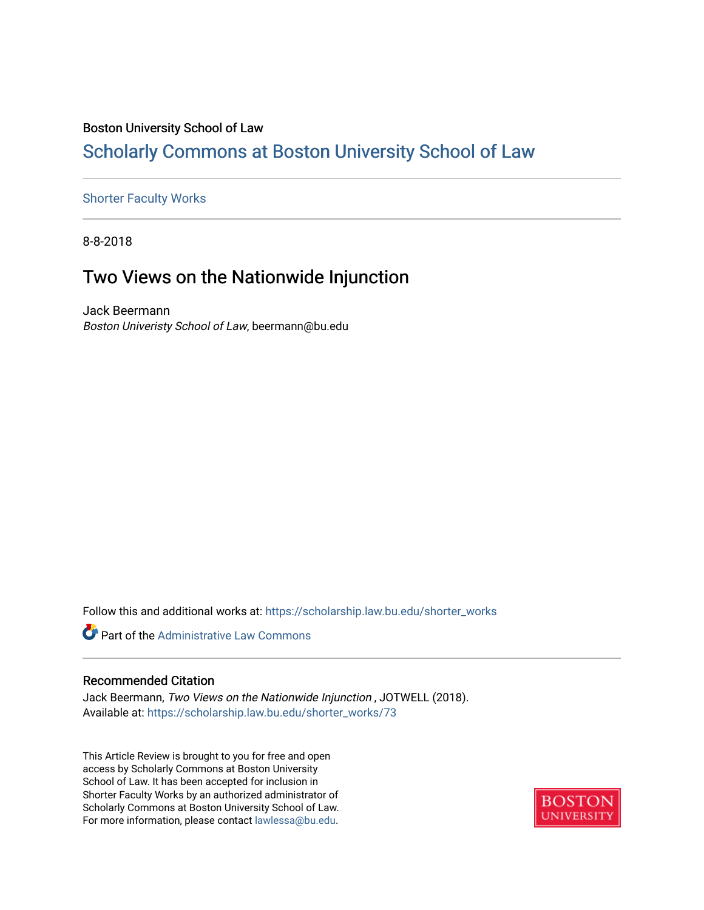### Boston University School of Law

## [Scholarly Commons at Boston University School of Law](https://scholarship.law.bu.edu/)

### [Shorter Faculty Works](https://scholarship.law.bu.edu/shorter_works)

8-8-2018

# Two Views on the Nationwide Injunction

Jack Beermann Boston Univeristy School of Law, beermann@bu.edu

Follow this and additional works at: [https://scholarship.law.bu.edu/shorter\\_works](https://scholarship.law.bu.edu/shorter_works?utm_source=scholarship.law.bu.edu%2Fshorter_works%2F73&utm_medium=PDF&utm_campaign=PDFCoverPages)



#### Recommended Citation

Jack Beermann, Two Views on the Nationwide Injunction , JOTWELL (2018). Available at: [https://scholarship.law.bu.edu/shorter\\_works/73](https://scholarship.law.bu.edu/shorter_works/73?utm_source=scholarship.law.bu.edu%2Fshorter_works%2F73&utm_medium=PDF&utm_campaign=PDFCoverPages)

This Article Review is brought to you for free and open access by Scholarly Commons at Boston University School of Law. It has been accepted for inclusion in Shorter Faculty Works by an authorized administrator of Scholarly Commons at Boston University School of Law. For more information, please contact [lawlessa@bu.edu](mailto:lawlessa@bu.edu).

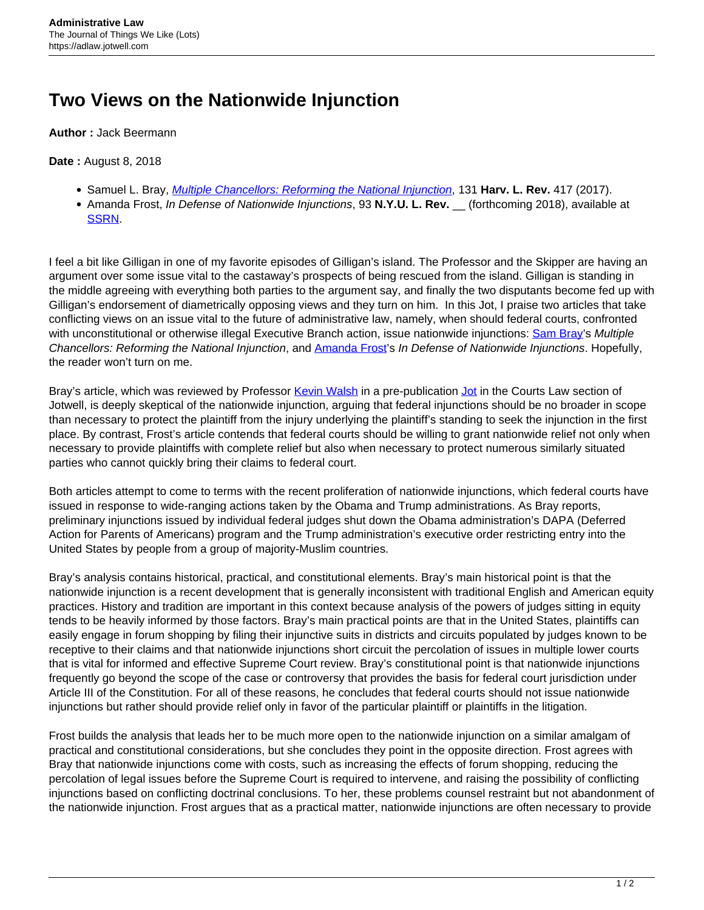# **Two Views on the Nationwide Injunction**

**Author :** Jack Beermann

#### **Date :** August 8, 2018

- Samuel L. Bray, [Multiple Chancellors: Reforming the National Injunction](https://harvardlawreview.org/wp-content/uploads/2017/12/417-482_Online.pdf), 131 **Harv. L. Rev.** 417 (2017).
- Amanda Frost, *In Defense of Nationwide Injunctions*, 93 N.Y.U. L. Rev. (forthcoming 2018), available at [SSRN.](https://papers.ssrn.com/sol3/papers.cfm?abstract_id=3112776)

I feel a bit like Gilligan in one of my favorite episodes of Gilligan's island. The Professor and the Skipper are having an argument over some issue vital to the castaway's prospects of being rescued from the island. Gilligan is standing in the middle agreeing with everything both parties to the argument say, and finally the two disputants become fed up with Gilligan's endorsement of diametrically opposing views and they turn on him. In this Jot, I praise two articles that take conflicting views on an issue vital to the future of administrative law, namely, when should federal courts, confronted with unconstitutional or otherwise illegal Executive Branch action, issue nationwide injunctions: [Sam Bray](http://law.nd.edu/directory/samuel-bray/)'s Multiple Chancellors: Reforming the National Injunction, and **[Amanda Frost'](https://www.wcl.american.edu/community/faculty/profile/frost/bio)s In Defense of Nationwide Injunctions**. Hopefully, the reader won't turn on me.

Bray's article, which was reviewed by Professor [Kevin Walsh](https://law.richmond.edu/faculty/kwalsh/) in a pre-publication [Jot](https://courtslaw.jotwell.com/equity-the-judicial-power-and-the-problem-of-the-national-injunction/) in the Courts Law section of Jotwell, is deeply skeptical of the nationwide injunction, arguing that federal injunctions should be no broader in scope than necessary to protect the plaintiff from the injury underlying the plaintiff's standing to seek the injunction in the first place. By contrast, Frost's article contends that federal courts should be willing to grant nationwide relief not only when necessary to provide plaintiffs with complete relief but also when necessary to protect numerous similarly situated parties who cannot quickly bring their claims to federal court.

Both articles attempt to come to terms with the recent proliferation of nationwide injunctions, which federal courts have issued in response to wide-ranging actions taken by the Obama and Trump administrations. As Bray reports, preliminary injunctions issued by individual federal judges shut down the Obama administration's DAPA (Deferred Action for Parents of Americans) program and the Trump administration's executive order restricting entry into the United States by people from a group of majority-Muslim countries.

Bray's analysis contains historical, practical, and constitutional elements. Bray's main historical point is that the nationwide injunction is a recent development that is generally inconsistent with traditional English and American equity practices. History and tradition are important in this context because analysis of the powers of judges sitting in equity tends to be heavily informed by those factors. Bray's main practical points are that in the United States, plaintiffs can easily engage in forum shopping by filing their injunctive suits in districts and circuits populated by judges known to be receptive to their claims and that nationwide injunctions short circuit the percolation of issues in multiple lower courts that is vital for informed and effective Supreme Court review. Bray's constitutional point is that nationwide injunctions frequently go beyond the scope of the case or controversy that provides the basis for federal court jurisdiction under Article III of the Constitution. For all of these reasons, he concludes that federal courts should not issue nationwide injunctions but rather should provide relief only in favor of the particular plaintiff or plaintiffs in the litigation.

Frost builds the analysis that leads her to be much more open to the nationwide injunction on a similar amalgam of practical and constitutional considerations, but she concludes they point in the opposite direction. Frost agrees with Bray that nationwide injunctions come with costs, such as increasing the effects of forum shopping, reducing the percolation of legal issues before the Supreme Court is required to intervene, and raising the possibility of conflicting injunctions based on conflicting doctrinal conclusions. To her, these problems counsel restraint but not abandonment of the nationwide injunction. Frost argues that as a practical matter, nationwide injunctions are often necessary to provide